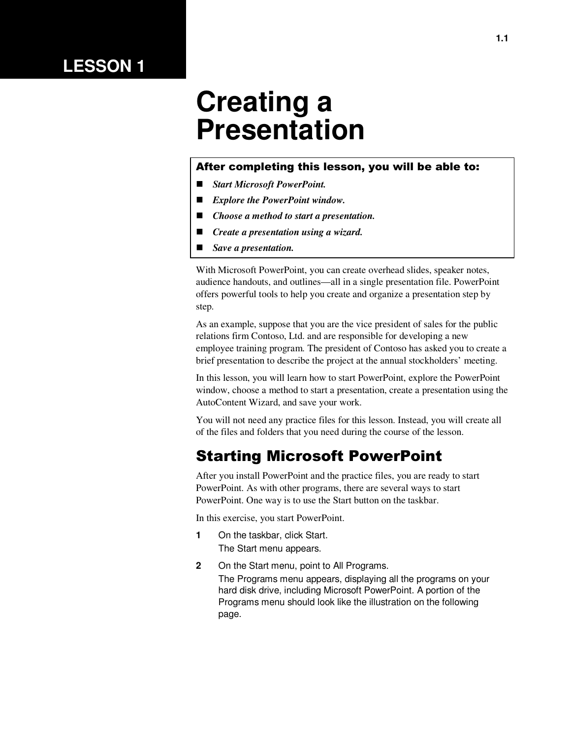## **LESSON 1**

# **Creating a Presentation**

#### After completing this lesson, you will be able to:

- *Start Microsoft PowerPoint.*
- *Explore the PowerPoint window.*
- *Choose a method to start a presentation.*
- *Create a presentation using a wizard.*
- *Save a presentation.*

With Microsoft PowerPoint, you can create overhead slides, speaker notes, audience handouts, and outlines—all in a single presentation file. PowerPoint offers powerful tools to help you create and organize a presentation step by step.

As an example, suppose that you are the vice president of sales for the public relations firm Contoso, Ltd. and are responsible for developing a new employee training program. The president of Contoso has asked you to create a brief presentation to describe the project at the annual stockholders' meeting.

In this lesson, you will learn how to start PowerPoint, explore the PowerPoint window, choose a method to start a presentation, create a presentation using the AutoContent Wizard, and save your work.

You will not need any practice files for this lesson. Instead, you will create all of the files and folders that you need during the course of the lesson.

## Starting Microsoft PowerPoint

After you install PowerPoint and the practice files, you are ready to start PowerPoint. As with other programs, there are several ways to start PowerPoint. One way is to use the Start button on the taskbar.

In this exercise, you start PowerPoint.

- **1** On the taskbar, click Start. The Start menu appears.
- **2** On the Start menu, point to All Programs. The Programs menu appears, displaying all the programs on your hard disk drive, including Microsoft PowerPoint. A portion of the Programs menu should look like the illustration on the following page.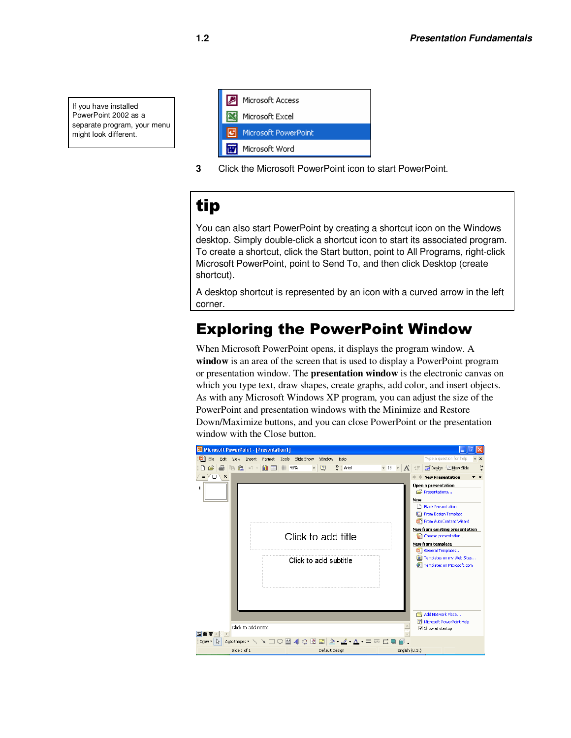If you have installed PowerPoint 2002 as a separate program, your menu might look different.

| Microsoft Access         |
|--------------------------|
| Microsoft Excel          |
| Microsoft PowerPoint     |
| <b>Wi</b> Microsoft Word |

**3** Click the Microsoft PowerPoint icon to start PowerPoint.

## tip

You can also start PowerPoint by creating a shortcut icon on the Windows desktop. Simply double-click a shortcut icon to start its associated program. To create a shortcut, click the Start button, point to All Programs, right-click Microsoft PowerPoint, point to Send To, and then click Desktop (create shortcut).

A desktop shortcut is represented by an icon with a curved arrow in the left corner.

## Exploring the PowerPoint Window

When Microsoft PowerPoint opens, it displays the program window. A **window** is an area of the screen that is used to display a PowerPoint program or presentation window. The **presentation window** is the electronic canvas on which you type text, draw shapes, create graphs, add color, and insert objects. As with any Microsoft Windows XP program, you can adjust the size of the PowerPoint and presentation windows with the Minimize and Restore Down/Maximize buttons, and you can close PowerPoint or the presentation window with the Close button.

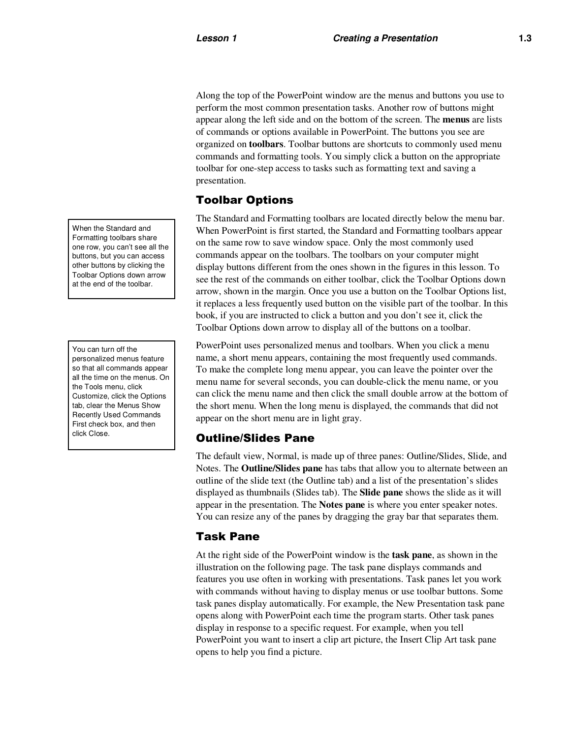Along the top of the PowerPoint window are the menus and buttons you use to perform the most common presentation tasks. Another row of buttons might appear along the left side and on the bottom of the screen. The **menus** are lists of commands or options available in PowerPoint. The buttons you see are organized on **toolbars**. Toolbar buttons are shortcuts to commonly used menu commands and formatting tools. You simply click a button on the appropriate toolbar for one-step access to tasks such as formatting text and saving a presentation.

#### Toolbar Options

The Standard and Formatting toolbars are located directly below the menu bar. When PowerPoint is first started, the Standard and Formatting toolbars appear on the same row to save window space. Only the most commonly used commands appear on the toolbars. The toolbars on your computer might display buttons different from the ones shown in the figures in this lesson. To see the rest of the commands on either toolbar, click the Toolbar Options down arrow, shown in the margin. Once you use a button on the Toolbar Options list, it replaces a less frequently used button on the visible part of the toolbar. In this book, if you are instructed to click a button and you don't see it, click the Toolbar Options down arrow to display all of the buttons on a toolbar.

PowerPoint uses personalized menus and toolbars. When you click a menu name, a short menu appears, containing the most frequently used commands. To make the complete long menu appear, you can leave the pointer over the menu name for several seconds, you can double-click the menu name, or you can click the menu name and then click the small double arrow at the bottom of the short menu. When the long menu is displayed, the commands that did not appear on the short menu are in light gray.

#### Outline/Slides Pane

The default view, Normal, is made up of three panes: Outline/Slides, Slide, and Notes. The **Outline/Slides pane** has tabs that allow you to alternate between an outline of the slide text (the Outline tab) and a list of the presentation's slides displayed as thumbnails (Slides tab). The **Slide pane** shows the slide as it will appear in the presentation. The **Notes pane** is where you enter speaker notes. You can resize any of the panes by dragging the gray bar that separates them.

#### Task Pane

At the right side of the PowerPoint window is the **task pane**, as shown in the illustration on the following page. The task pane displays commands and features you use often in working with presentations. Task panes let you work with commands without having to display menus or use toolbar buttons. Some task panes display automatically. For example, the New Presentation task pane opens along with PowerPoint each time the program starts. Other task panes display in response to a specific request. For example, when you tell PowerPoint you want to insert a clip art picture, the Insert Clip Art task pane opens to help you find a picture.

When the Standard and Formatting toolbars share one row, you can't see all the buttons, but you can access other buttons by clicking the Toolbar Options down arrow at the end of the toolbar.

You can turn off the personalized menus feature so that all commands appear all the time on the menus. On the Tools menu, click Customize, click the Options tab, clear the Menus Show Recently Used Commands First check box, and then click Close.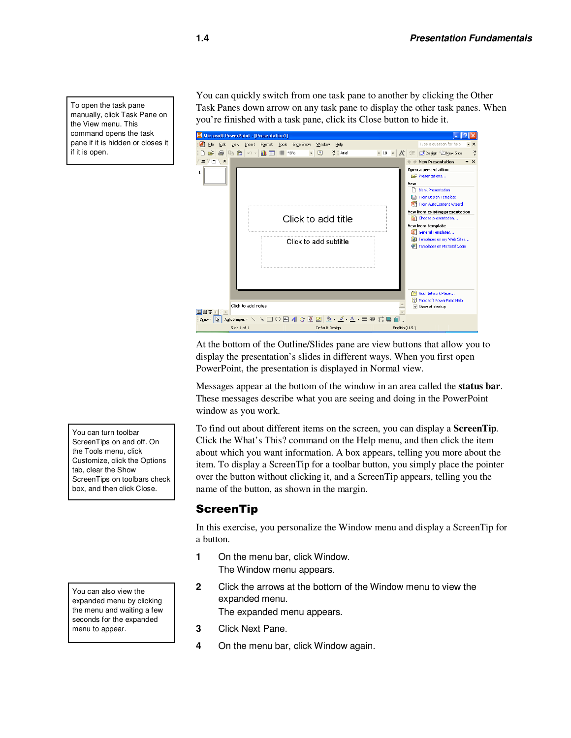To open the task pane manually, click Task Pane on the View menu. This command opens the task pane if it is hidden or closes it if it is open.

You can quickly switch from one task pane to another by clicking the Other Task Panes down arrow on any task pane to display the other task panes. When you're finished with a task pane, click its Close button to hide it.



At the bottom of the Outline/Slides pane are view buttons that allow you to display the presentation's slides in different ways. When you first open PowerPoint, the presentation is displayed in Normal view.

Messages appear at the bottom of the window in an area called the **status bar**. These messages describe what you are seeing and doing in the PowerPoint window as you work.

To find out about different items on the screen, you can display a **ScreenTip***.* Click the What's This? command on the Help menu, and then click the item about which you want information. A box appears, telling you more about the item. To display a ScreenTip for a toolbar button, you simply place the pointer over the button without clicking it, and a ScreenTip appears, telling you the name of the button, as shown in the margin.

#### **ScreenTip**

In this exercise, you personalize the Window menu and display a ScreenTip for a button.

- **1** On the menu bar, click Window. The Window menu appears.
- **2** Click the arrows at the bottom of the Window menu to view the expanded menu.

The expanded menu appears.

- **3** Click Next Pane.
- **4** On the menu bar, click Window again.

You can turn toolbar ScreenTips on and off. On the Tools menu, click Customize, click the Options tab, clear the Show ScreenTips on toolbars check box, and then click Close.

You can also view the expanded menu by clicking the menu and waiting a few seconds for the expanded menu to appear.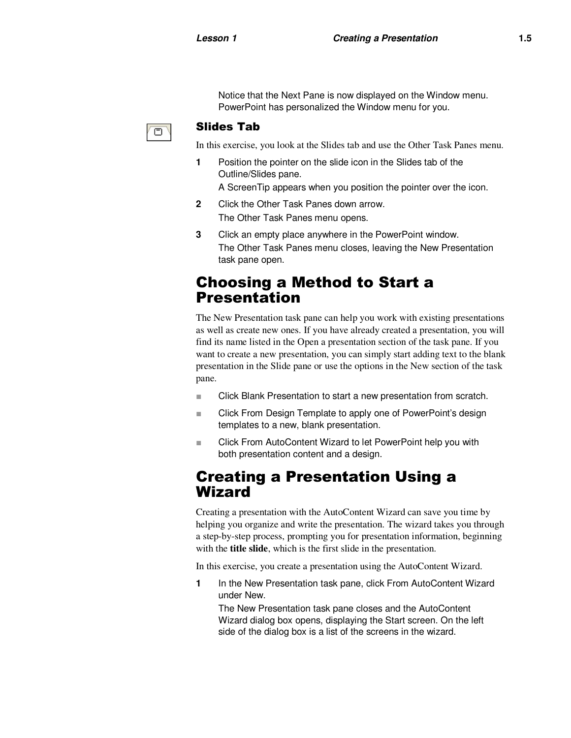Notice that the Next Pane is now displayed on the Window menu. PowerPoint has personalized the Window menu for you.

#### Slides Tab

In this exercise, you look at the Slides tab and use the Other Task Panes menu.

- **1** Position the pointer on the slide icon in the Slides tab of the Outline/Slides pane.
	- A ScreenTip appears when you position the pointer over the icon.
- **2** Click the Other Task Panes down arrow. The Other Task Panes menu opens.
- **3** Click an empty place anywhere in the PowerPoint window. The Other Task Panes menu closes, leaving the New Presentation task pane open.

### Choosing a Method to Start a Presentation

The New Presentation task pane can help you work with existing presentations as well as create new ones. If you have already created a presentation, you will find its name listed in the Open a presentation section of the task pane. If you want to create a new presentation, you can simply start adding text to the blank presentation in the Slide pane or use the options in the New section of the task pane.

- Click Blank Presentation to start a new presentation from scratch.
- Click From Design Template to apply one of PowerPoint's design templates to a new, blank presentation.
- Click From AutoContent Wizard to let PowerPoint help you with both presentation content and a design.

### Creating a Presentation Using a Wizard

Creating a presentation with the AutoContent Wizard can save you time by helping you organize and write the presentation. The wizard takes you through a step-by-step process, prompting you for presentation information, beginning with the **title slide**, which is the first slide in the presentation.

In this exercise, you create a presentation using the AutoContent Wizard.

**1** In the New Presentation task pane, click From AutoContent Wizard under New.

The New Presentation task pane closes and the AutoContent Wizard dialog box opens, displaying the Start screen. On the left side of the dialog box is a list of the screens in the wizard.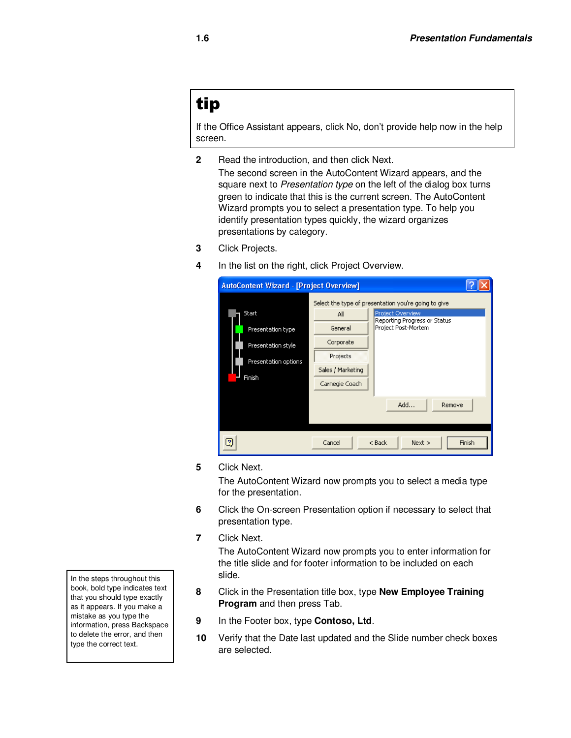## tip

If the Office Assistant appears, click No, don't provide help now in the help screen.

- **2** Read the introduction, and then click Next. The second screen in the AutoContent Wizard appears, and the square next to Presentation type on the left of the dialog box turns green to indicate that this is the current screen. The AutoContent Wizard prompts you to select a presentation type. To help you identify presentation types quickly, the wizard organizes presentations by category.
- **3** Click Projects.
- **4** In the list on the right, click Project Overview.

| <b>AutoContent Wizard - [Project Overview]</b>                                     |                                                                                                                                                                                                                   |  |  |
|------------------------------------------------------------------------------------|-------------------------------------------------------------------------------------------------------------------------------------------------------------------------------------------------------------------|--|--|
| Start<br>Presentation type<br>Presentation style<br>Presentation options<br>Finish | Select the type of presentation you're going to give<br>Project Overview<br>All<br>Reporting Progress or Status<br>Project Post-Mortem<br>General<br>Corporate<br>Projects<br>Sales / Marketing<br>Carnegie Coach |  |  |
|                                                                                    | Add<br>Remove                                                                                                                                                                                                     |  |  |
| Cancel<br>$<$ Back<br>Next<br>Finish                                               |                                                                                                                                                                                                                   |  |  |

**5** Click Next.

The AutoContent Wizard now prompts you to select a media type for the presentation.

- **6** Click the On-screen Presentation option if necessary to select that presentation type.
- **7** Click Next.

The AutoContent Wizard now prompts you to enter information for the title slide and for footer information to be included on each slide.

- **8** Click in the Presentation title box, type **New Employee Training Program** and then press Tab.
- **9** In the Footer box, type **Contoso, Ltd**.
- **10** Verify that the Date last updated and the Slide number check boxes are selected.

In the steps throughout this book, bold type indicates text that you should type exactly as it appears. If you make a mistake as you type the information, press Backspace to delete the error, and then type the correct text.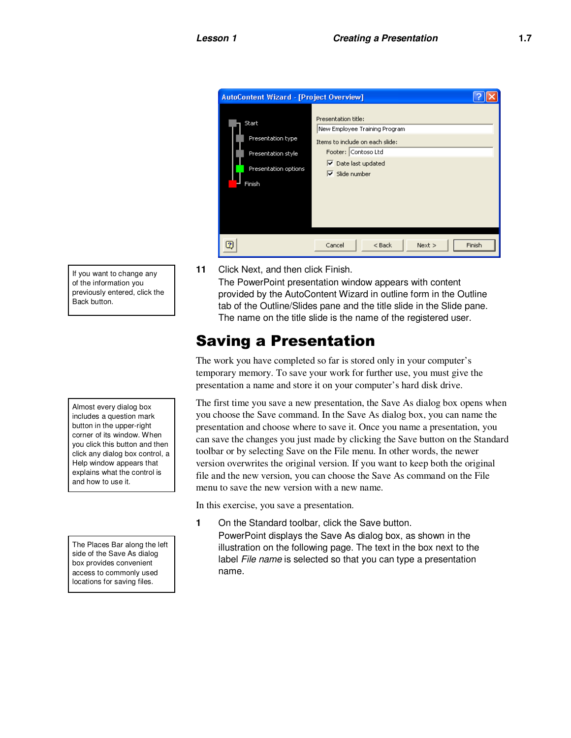

If you want to change any of the information you previously entered, click the Back button.

Almost every dialog box includes a question mark button in the upper-right corner of its window. When you click this button and then click any dialog box control, a Help window appears that explains what the control is and how to use it.

The Places Bar along the left side of the Save As dialog box provides convenient access to commonly used locations for saving files.

**11** Click Next, and then click Finish.

The PowerPoint presentation window appears with content provided by the AutoContent Wizard in outline form in the Outline tab of the Outline/Slides pane and the title slide in the Slide pane. The name on the title slide is the name of the registered user.

## Saving a Presentation

The work you have completed so far is stored only in your computer's temporary memory. To save your work for further use, you must give the presentation a name and store it on your computer's hard disk drive.

The first time you save a new presentation, the Save As dialog box opens when you choose the Save command. In the Save As dialog box, you can name the presentation and choose where to save it. Once you name a presentation, you can save the changes you just made by clicking the Save button on the Standard toolbar or by selecting Save on the File menu. In other words, the newer version overwrites the original version. If you want to keep both the original file and the new version, you can choose the Save As command on the File menu to save the new version with a new name.

In this exercise, you save a presentation.

- **1** On the Standard toolbar, click the Save button. PowerPoint displays the Save As dialog box, as shown in the
	- illustration on the following page. The text in the box next to the label File name is selected so that you can type a presentation name.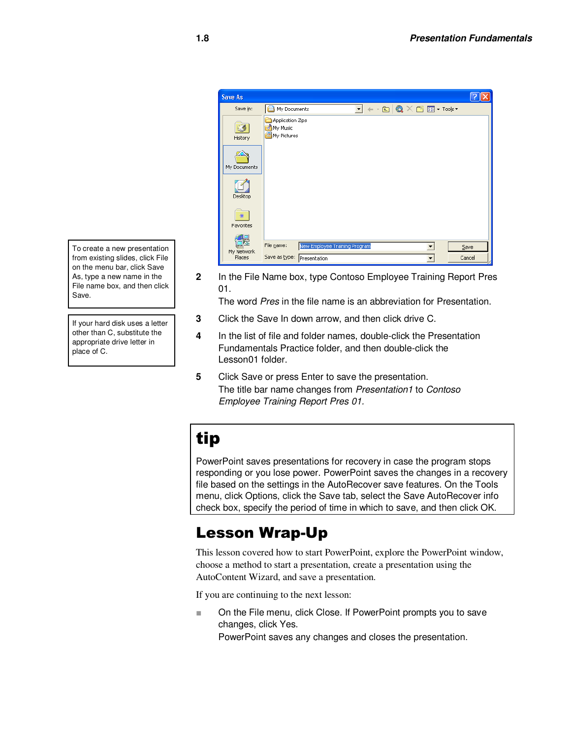

**2** In the File Name box, type Contoso Employee Training Report Pres 01.

The word Pres in the file name is an abbreviation for Presentation.

- **3** Click the Save In down arrow, and then click drive C.
- **4** In the list of file and folder names, double-click the Presentation Fundamentals Practice folder, and then double-click the Lesson01 folder.
- **5** Click Save or press Enter to save the presentation. The title bar name changes from Presentation1 to Contoso Employee Training Report Pres 01.

## tip

PowerPoint saves presentations for recovery in case the program stops responding or you lose power. PowerPoint saves the changes in a recovery file based on the settings in the AutoRecover save features. On the Tools menu, click Options, click the Save tab, select the Save AutoRecover info check box, specify the period of time in which to save, and then click OK.

## Lesson Wrap-Up

This lesson covered how to start PowerPoint, explore the PowerPoint window, choose a method to start a presentation, create a presentation using the AutoContent Wizard, and save a presentation.

If you are continuing to the next lesson:

■ On the File menu, click Close. If PowerPoint prompts you to save changes, click Yes.

PowerPoint saves any changes and closes the presentation.

To create a new presentation from existing slides, click File on the menu bar, click Save As, type a new name in the File name box, and then click Save.

If your hard disk uses a letter other than C, substitute the appropriate drive letter in place of C.